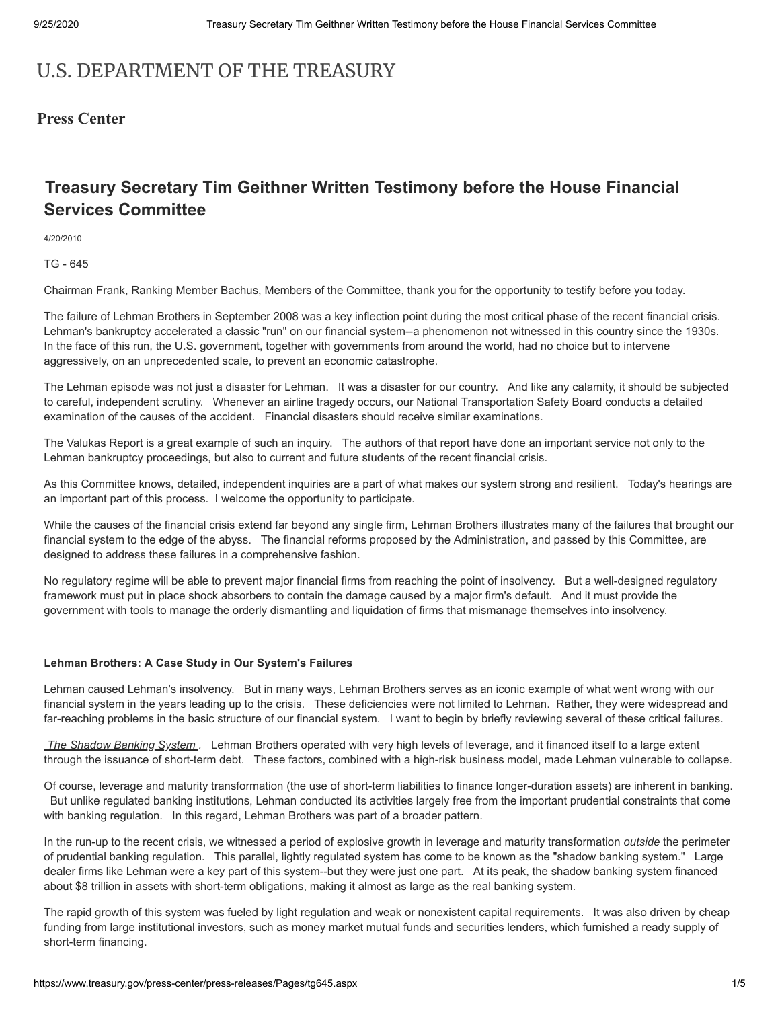# U.S. DEPARTMENT OF THE TREASURY

# **Press Center**

# **Treasury Secretary Tim Geithner Written Testimony before the House Financial Services Committee**

4/20/2010

TG - 645

Chairman Frank, Ranking Member Bachus, Members of the Committee, thank you for the opportunity to testify before you today.

The failure of Lehman Brothers in September 2008 was a key inflection point during the most critical phase of the recent financial crisis. Lehman's bankruptcy accelerated a classic "run" on our financial system--a phenomenon not witnessed in this country since the 1930s. In the face of this run, the U.S. government, together with governments from around the world, had no choice but to intervene aggressively, on an unprecedented scale, to prevent an economic catastrophe.

The Lehman episode was not just a disaster for Lehman. It was a disaster for our country. And like any calamity, it should be subjected to careful, independent scrutiny. Whenever an airline tragedy occurs, our National Transportation Safety Board conducts a detailed examination of the causes of the accident. Financial disasters should receive similar examinations.

The Valukas Report is a great example of such an inquiry. The authors of that report have done an important service not only to the Lehman bankruptcy proceedings, but also to current and future students of the recent financial crisis.

As this Committee knows, detailed, independent inquiries are a part of what makes our system strong and resilient. Today's hearings are an important part of this process. I welcome the opportunity to participate.

While the causes of the financial crisis extend far beyond any single firm, Lehman Brothers illustrates many of the failures that brought our financial system to the edge of the abyss. The financial reforms proposed by the Administration, and passed by this Committee, are designed to address these failures in a comprehensive fashion.

No regulatory regime will be able to prevent major financial firms from reaching the point of insolvency. But a well-designed regulatory framework must put in place shock absorbers to contain the damage caused by a major firm's default. And it must provide the government with tools to manage the orderly dismantling and liquidation of firms that mismanage themselves into insolvency.

## **Lehman Brothers: A Case Study in Our System's Failures**

Lehman caused Lehman's insolvency. But in many ways, Lehman Brothers serves as an iconic example of what went wrong with our financial system in the years leading up to the crisis. These deficiencies were not limited to Lehman. Rather, they were widespread and far-reaching problems in the basic structure of our financial system. I want to begin by briefly reviewing several of these critical failures.

*The Shadow Banking System .* Lehman Brothers operated with very high levels of leverage, and it financed itself to a large extent through the issuance of short-term debt. These factors, combined with a high-risk business model, made Lehman vulnerable to collapse.

Of course, leverage and maturity transformation (the use of short-term liabilities to finance longer-duration assets) are inherent in banking. But unlike regulated banking institutions, Lehman conducted its activities largely free from the important prudential constraints that come with banking regulation. In this regard, Lehman Brothers was part of a broader pattern.

In the run-up to the recent crisis, we witnessed a period of explosive growth in leverage and maturity transformation *outside* the perimeter of prudential banking regulation. This parallel, lightly regulated system has come to be known as the "shadow banking system." Large dealer firms like Lehman were a key part of this system--but they were just one part. At its peak, the shadow banking system financed about \$8 trillion in assets with short-term obligations, making it almost as large as the real banking system.

The rapid growth of this system was fueled by light regulation and weak or nonexistent capital requirements. It was also driven by cheap funding from large institutional investors, such as money market mutual funds and securities lenders, which furnished a ready supply of short-term financing.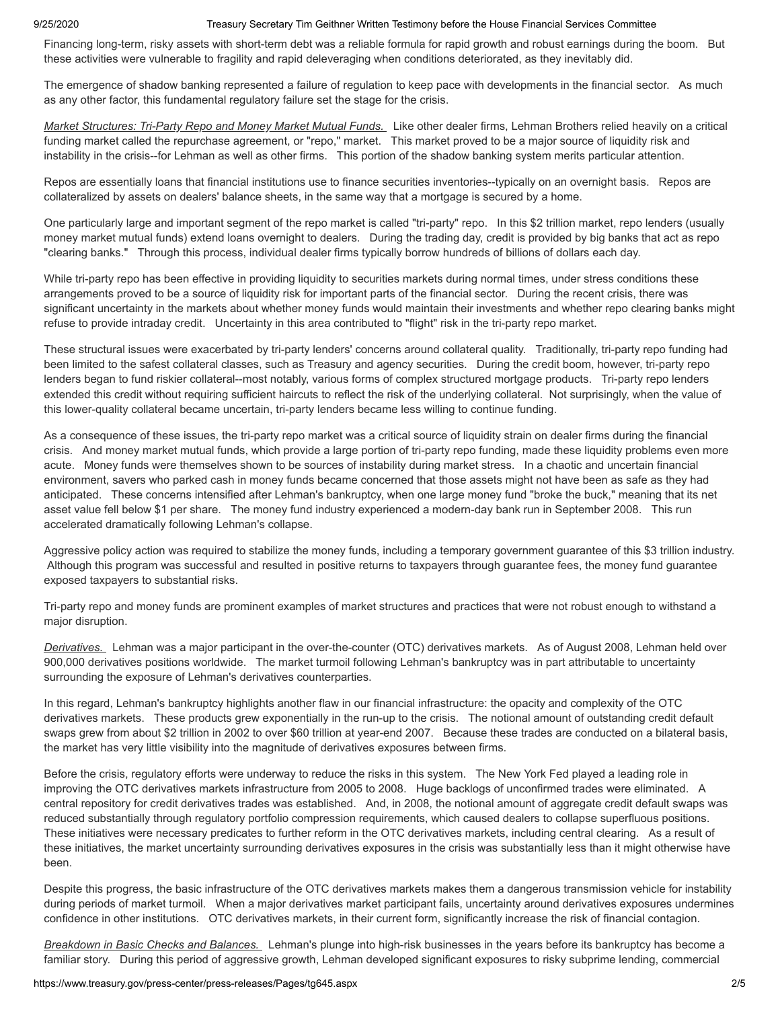Financing long-term, risky assets with short-term debt was a reliable formula for rapid growth and robust earnings during the boom. But these activities were vulnerable to fragility and rapid deleveraging when conditions deteriorated, as they inevitably did.

The emergence of shadow banking represented a failure of regulation to keep pace with developments in the financial sector. As much as any other factor, this fundamental regulatory failure set the stage for the crisis.

*Market Structures: Tri-Party Repo and Money Market Mutual Funds.* Like other dealer firms, Lehman Brothers relied heavily on a critical funding market called the repurchase agreement, or "repo," market. This market proved to be a major source of liquidity risk and instability in the crisis--for Lehman as well as other firms. This portion of the shadow banking system merits particular attention.

Repos are essentially loans that financial institutions use to finance securities inventories--typically on an overnight basis. Repos are collateralized by assets on dealers' balance sheets, in the same way that a mortgage is secured by a home.

One particularly large and important segment of the repo market is called "tri-party" repo. In this \$2 trillion market, repo lenders (usually money market mutual funds) extend loans overnight to dealers. During the trading day, credit is provided by big banks that act as repo "clearing banks." Through this process, individual dealer firms typically borrow hundreds of billions of dollars each day.

While tri-party repo has been effective in providing liquidity to securities markets during normal times, under stress conditions these arrangements proved to be a source of liquidity risk for important parts of the financial sector. During the recent crisis, there was significant uncertainty in the markets about whether money funds would maintain their investments and whether repo clearing banks might refuse to provide intraday credit. Uncertainty in this area contributed to "flight" risk in the tri-party repo market.

These structural issues were exacerbated by tri-party lenders' concerns around collateral quality. Traditionally, tri-party repo funding had been limited to the safest collateral classes, such as Treasury and agency securities. During the credit boom, however, tri-party repo lenders began to fund riskier collateral--most notably, various forms of complex structured mortgage products. Tri-party repo lenders extended this credit without requiring sufficient haircuts to reflect the risk of the underlying collateral. Not surprisingly, when the value of this lower-quality collateral became uncertain, tri-party lenders became less willing to continue funding.

As a consequence of these issues, the tri-party repo market was a critical source of liquidity strain on dealer firms during the financial crisis. And money market mutual funds, which provide a large portion of tri-party repo funding, made these liquidity problems even more acute. Money funds were themselves shown to be sources of instability during market stress. In a chaotic and uncertain financial environment, savers who parked cash in money funds became concerned that those assets might not have been as safe as they had anticipated. These concerns intensified after Lehman's bankruptcy, when one large money fund "broke the buck," meaning that its net asset value fell below \$1 per share. The money fund industry experienced a modern-day bank run in September 2008. This run accelerated dramatically following Lehman's collapse.

Aggressive policy action was required to stabilize the money funds, including a temporary government guarantee of this \$3 trillion industry. Although this program was successful and resulted in positive returns to taxpayers through guarantee fees, the money fund guarantee exposed taxpayers to substantial risks.

Tri-party repo and money funds are prominent examples of market structures and practices that were not robust enough to withstand a major disruption.

*Derivatives.* Lehman was a major participant in the over-the-counter (OTC) derivatives markets. As of August 2008, Lehman held over 900,000 derivatives positions worldwide. The market turmoil following Lehman's bankruptcy was in part attributable to uncertainty surrounding the exposure of Lehman's derivatives counterparties.

In this regard, Lehman's bankruptcy highlights another flaw in our financial infrastructure: the opacity and complexity of the OTC derivatives markets. These products grew exponentially in the run-up to the crisis. The notional amount of outstanding credit default swaps grew from about \$2 trillion in 2002 to over \$60 trillion at year-end 2007. Because these trades are conducted on a bilateral basis, the market has very little visibility into the magnitude of derivatives exposures between firms.

Before the crisis, regulatory efforts were underway to reduce the risks in this system. The New York Fed played a leading role in improving the OTC derivatives markets infrastructure from 2005 to 2008. Huge backlogs of unconfirmed trades were eliminated. A central repository for credit derivatives trades was established. And, in 2008, the notional amount of aggregate credit default swaps was reduced substantially through regulatory portfolio compression requirements, which caused dealers to collapse superfluous positions. These initiatives were necessary predicates to further reform in the OTC derivatives markets, including central clearing. As a result of these initiatives, the market uncertainty surrounding derivatives exposures in the crisis was substantially less than it might otherwise have been.

Despite this progress, the basic infrastructure of the OTC derivatives markets makes them a dangerous transmission vehicle for instability during periods of market turmoil. When a major derivatives market participant fails, uncertainty around derivatives exposures undermines confidence in other institutions. OTC derivatives markets, in their current form, significantly increase the risk of financial contagion.

*Breakdown in Basic Checks and Balances.* Lehman's plunge into high-risk businesses in the years before its bankruptcy has become a familiar story. During this period of aggressive growth, Lehman developed significant exposures to risky subprime lending, commercial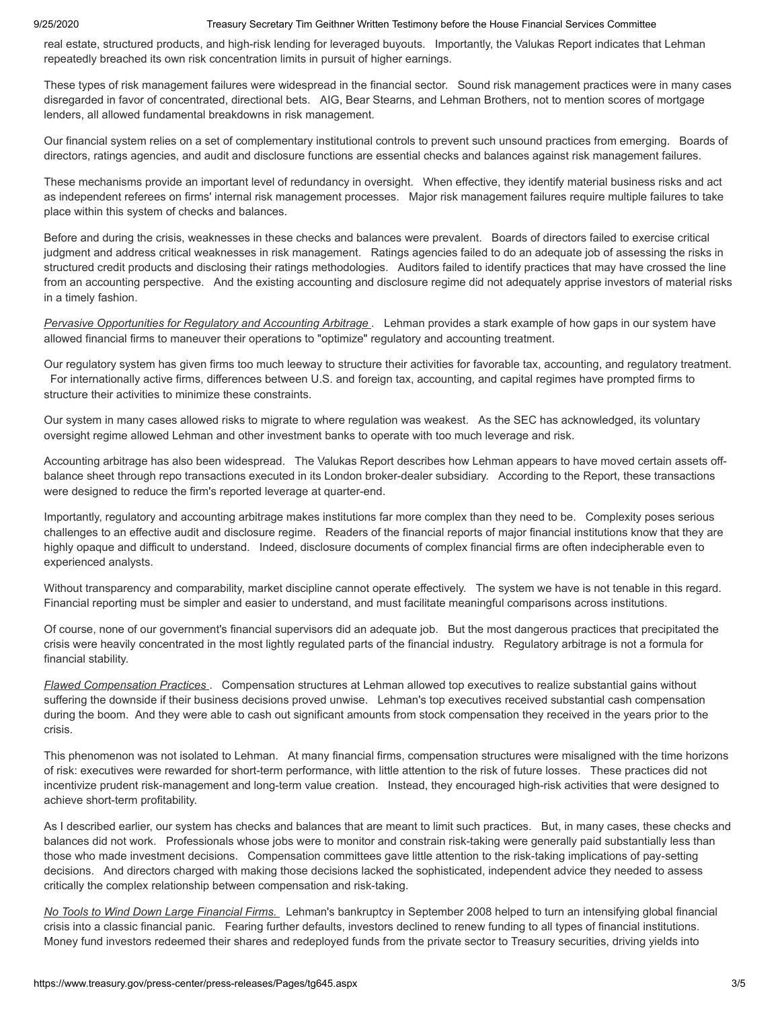real estate, structured products, and high-risk lending for leveraged buyouts. Importantly, the Valukas Report indicates that Lehman repeatedly breached its own risk concentration limits in pursuit of higher earnings.

These types of risk management failures were widespread in the financial sector. Sound risk management practices were in many cases disregarded in favor of concentrated, directional bets. AIG, Bear Stearns, and Lehman Brothers, not to mention scores of mortgage lenders, all allowed fundamental breakdowns in risk management.

Our financial system relies on a set of complementary institutional controls to prevent such unsound practices from emerging. Boards of directors, ratings agencies, and audit and disclosure functions are essential checks and balances against risk management failures.

These mechanisms provide an important level of redundancy in oversight. When effective, they identify material business risks and act as independent referees on firms' internal risk management processes. Major risk management failures require multiple failures to take place within this system of checks and balances.

Before and during the crisis, weaknesses in these checks and balances were prevalent. Boards of directors failed to exercise critical judgment and address critical weaknesses in risk management. Ratings agencies failed to do an adequate job of assessing the risks in structured credit products and disclosing their ratings methodologies. Auditors failed to identify practices that may have crossed the line from an accounting perspective. And the existing accounting and disclosure regime did not adequately apprise investors of material risks in a timely fashion.

*Pervasive Opportunities for Regulatory and Accounting Arbitrage .* Lehman provides a stark example of how gaps in our system have allowed financial firms to maneuver their operations to "optimize" regulatory and accounting treatment.

Our regulatory system has given firms too much leeway to structure their activities for favorable tax, accounting, and regulatory treatment. For internationally active firms, differences between U.S. and foreign tax, accounting, and capital regimes have prompted firms to structure their activities to minimize these constraints.

Our system in many cases allowed risks to migrate to where regulation was weakest. As the SEC has acknowledged, its voluntary oversight regime allowed Lehman and other investment banks to operate with too much leverage and risk.

Accounting arbitrage has also been widespread. The Valukas Report describes how Lehman appears to have moved certain assets offbalance sheet through repo transactions executed in its London broker-dealer subsidiary. According to the Report, these transactions were designed to reduce the firm's reported leverage at quarter-end.

Importantly, regulatory and accounting arbitrage makes institutions far more complex than they need to be. Complexity poses serious challenges to an effective audit and disclosure regime. Readers of the financial reports of major financial institutions know that they are highly opaque and difficult to understand. Indeed, disclosure documents of complex financial firms are often indecipherable even to experienced analysts.

Without transparency and comparability, market discipline cannot operate effectively. The system we have is not tenable in this regard. Financial reporting must be simpler and easier to understand, and must facilitate meaningful comparisons across institutions.

Of course, none of our government's financial supervisors did an adequate job. But the most dangerous practices that precipitated the crisis were heavily concentrated in the most lightly regulated parts of the financial industry. Regulatory arbitrage is not a formula for financial stability.

*Flawed Compensation Practices* . Compensation structures at Lehman allowed top executives to realize substantial gains without suffering the downside if their business decisions proved unwise. Lehman's top executives received substantial cash compensation during the boom. And they were able to cash out significant amounts from stock compensation they received in the years prior to the crisis.

This phenomenon was not isolated to Lehman. At many financial firms, compensation structures were misaligned with the time horizons of risk: executives were rewarded for short-term performance, with little attention to the risk of future losses. These practices did not incentivize prudent risk-management and long-term value creation. Instead, they encouraged high-risk activities that were designed to achieve short-term profitability.

As I described earlier, our system has checks and balances that are meant to limit such practices. But, in many cases, these checks and balances did not work. Professionals whose jobs were to monitor and constrain risk-taking were generally paid substantially less than those who made investment decisions. Compensation committees gave little attention to the risk-taking implications of pay-setting decisions. And directors charged with making those decisions lacked the sophisticated, independent advice they needed to assess critically the complex relationship between compensation and risk-taking.

*No Tools to Wind Down Large Financial Firms.* Lehman's bankruptcy in September 2008 helped to turn an intensifying global financial crisis into a classic financial panic. Fearing further defaults, investors declined to renew funding to all types of financial institutions. Money fund investors redeemed their shares and redeployed funds from the private sector to Treasury securities, driving yields into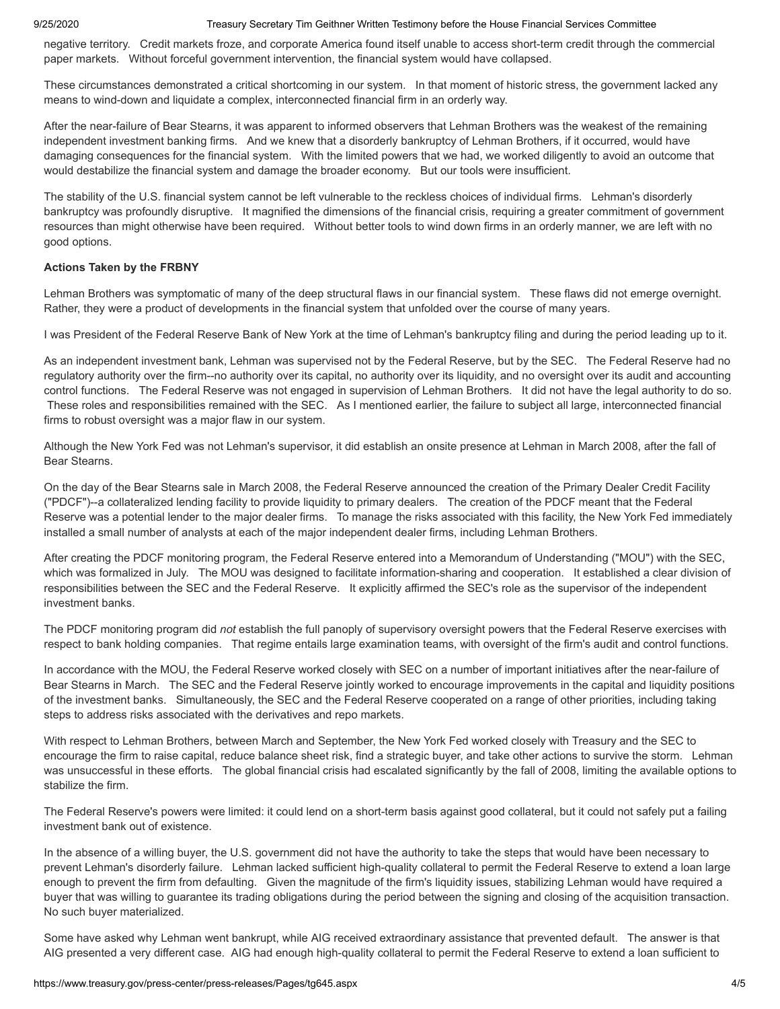negative territory. Credit markets froze, and corporate America found itself unable to access short-term credit through the commercial paper markets. Without forceful government intervention, the financial system would have collapsed.

These circumstances demonstrated a critical shortcoming in our system. In that moment of historic stress, the government lacked any means to wind-down and liquidate a complex, interconnected financial firm in an orderly way.

After the near-failure of Bear Stearns, it was apparent to informed observers that Lehman Brothers was the weakest of the remaining independent investment banking firms. And we knew that a disorderly bankruptcy of Lehman Brothers, if it occurred, would have damaging consequences for the financial system. With the limited powers that we had, we worked diligently to avoid an outcome that would destabilize the financial system and damage the broader economy. But our tools were insufficient.

The stability of the U.S. financial system cannot be left vulnerable to the reckless choices of individual firms. Lehman's disorderly bankruptcy was profoundly disruptive. It magnified the dimensions of the financial crisis, requiring a greater commitment of government resources than might otherwise have been required. Without better tools to wind down firms in an orderly manner, we are left with no good options.

# **Actions Taken by the FRBNY**

Lehman Brothers was symptomatic of many of the deep structural flaws in our financial system. These flaws did not emerge overnight. Rather, they were a product of developments in the financial system that unfolded over the course of many years.

I was President of the Federal Reserve Bank of New York at the time of Lehman's bankruptcy filing and during the period leading up to it.

As an independent investment bank, Lehman was supervised not by the Federal Reserve, but by the SEC. The Federal Reserve had no regulatory authority over the firm--no authority over its capital, no authority over its liquidity, and no oversight over its audit and accounting control functions. The Federal Reserve was not engaged in supervision of Lehman Brothers. It did not have the legal authority to do so. These roles and responsibilities remained with the SEC. As I mentioned earlier, the failure to subject all large, interconnected financial firms to robust oversight was a major flaw in our system.

Although the New York Fed was not Lehman's supervisor, it did establish an onsite presence at Lehman in March 2008, after the fall of Bear Stearns.

On the day of the Bear Stearns sale in March 2008, the Federal Reserve announced the creation of the Primary Dealer Credit Facility ("PDCF")--a collateralized lending facility to provide liquidity to primary dealers. The creation of the PDCF meant that the Federal Reserve was a potential lender to the major dealer firms. To manage the risks associated with this facility, the New York Fed immediately installed a small number of analysts at each of the major independent dealer firms, including Lehman Brothers.

After creating the PDCF monitoring program, the Federal Reserve entered into a Memorandum of Understanding ("MOU") with the SEC, which was formalized in July. The MOU was designed to facilitate information-sharing and cooperation. It established a clear division of responsibilities between the SEC and the Federal Reserve. It explicitly affirmed the SEC's role as the supervisor of the independent investment banks.

The PDCF monitoring program did *not* establish the full panoply of supervisory oversight powers that the Federal Reserve exercises with respect to bank holding companies. That regime entails large examination teams, with oversight of the firm's audit and control functions.

In accordance with the MOU, the Federal Reserve worked closely with SEC on a number of important initiatives after the near-failure of Bear Stearns in March. The SEC and the Federal Reserve jointly worked to encourage improvements in the capital and liquidity positions of the investment banks. Simultaneously, the SEC and the Federal Reserve cooperated on a range of other priorities, including taking steps to address risks associated with the derivatives and repo markets.

With respect to Lehman Brothers, between March and September, the New York Fed worked closely with Treasury and the SEC to encourage the firm to raise capital, reduce balance sheet risk, find a strategic buyer, and take other actions to survive the storm. Lehman was unsuccessful in these efforts. The global financial crisis had escalated significantly by the fall of 2008, limiting the available options to stabilize the firm.

The Federal Reserve's powers were limited: it could lend on a short-term basis against good collateral, but it could not safely put a failing investment bank out of existence.

In the absence of a willing buyer, the U.S. government did not have the authority to take the steps that would have been necessary to prevent Lehman's disorderly failure. Lehman lacked sufficient high-quality collateral to permit the Federal Reserve to extend a loan large enough to prevent the firm from defaulting. Given the magnitude of the firm's liquidity issues, stabilizing Lehman would have required a buyer that was willing to guarantee its trading obligations during the period between the signing and closing of the acquisition transaction. No such buyer materialized.

Some have asked why Lehman went bankrupt, while AIG received extraordinary assistance that prevented default. The answer is that AIG presented a very different case. AIG had enough high-quality collateral to permit the Federal Reserve to extend a loan sufficient to